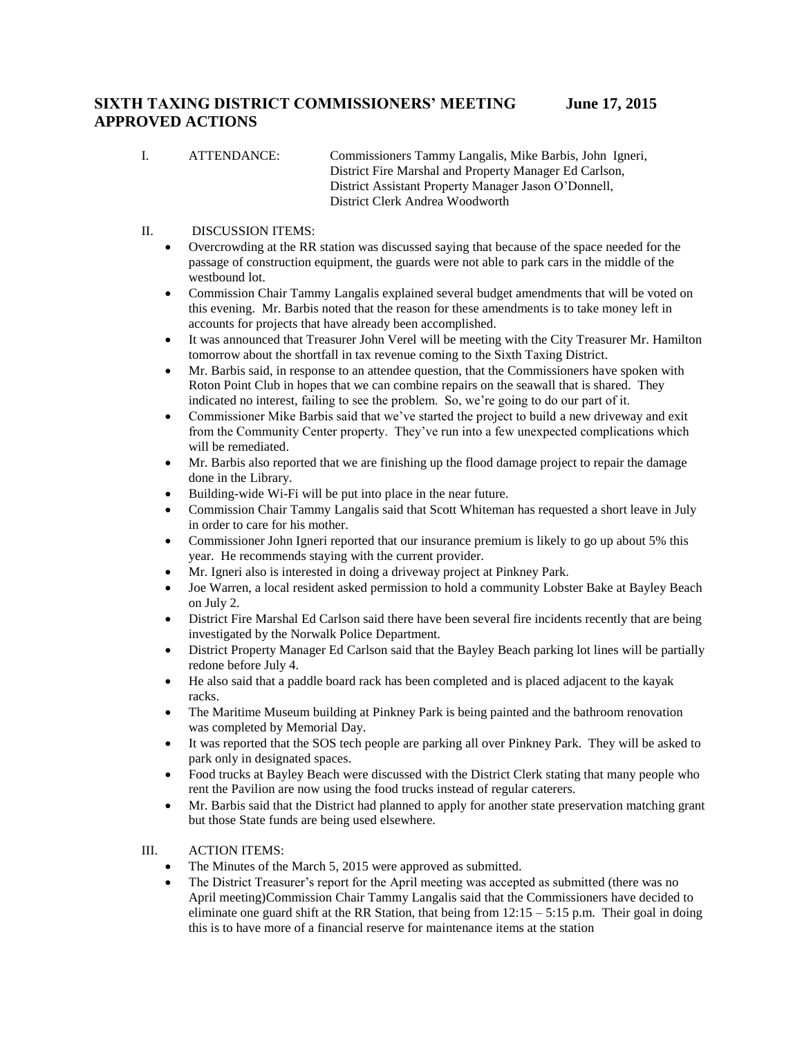## **SIXTH TAXING DISTRICT COMMISSIONERS' MEETING June 17, 2015 APPROVED ACTIONS**

I. ATTENDANCE: Commissioners Tammy Langalis, Mike Barbis, John Igneri, District Fire Marshal and Property Manager Ed Carlson, District Assistant Property Manager Jason O'Donnell, District Clerk Andrea Woodworth

## II. DISCUSSION ITEMS:

- Overcrowding at the RR station was discussed saying that because of the space needed for the passage of construction equipment, the guards were not able to park cars in the middle of the westbound lot.
- Commission Chair Tammy Langalis explained several budget amendments that will be voted on this evening. Mr. Barbis noted that the reason for these amendments is to take money left in accounts for projects that have already been accomplished.
- It was announced that Treasurer John Verel will be meeting with the City Treasurer Mr. Hamilton tomorrow about the shortfall in tax revenue coming to the Sixth Taxing District.
- Mr. Barbis said, in response to an attendee question, that the Commissioners have spoken with Roton Point Club in hopes that we can combine repairs on the seawall that is shared. They indicated no interest, failing to see the problem. So, we're going to do our part of it.
- Commissioner Mike Barbis said that we've started the project to build a new driveway and exit from the Community Center property. They've run into a few unexpected complications which will be remediated.
- Mr. Barbis also reported that we are finishing up the flood damage project to repair the damage done in the Library.
- Building-wide Wi-Fi will be put into place in the near future.
- Commission Chair Tammy Langalis said that Scott Whiteman has requested a short leave in July in order to care for his mother.
- Commissioner John Igneri reported that our insurance premium is likely to go up about 5% this year. He recommends staying with the current provider.
- Mr. Igneri also is interested in doing a driveway project at Pinkney Park.
- Joe Warren, a local resident asked permission to hold a community Lobster Bake at Bayley Beach on July 2.
- District Fire Marshal Ed Carlson said there have been several fire incidents recently that are being investigated by the Norwalk Police Department.
- District Property Manager Ed Carlson said that the Bayley Beach parking lot lines will be partially redone before July 4.
- He also said that a paddle board rack has been completed and is placed adjacent to the kayak racks.
- The Maritime Museum building at Pinkney Park is being painted and the bathroom renovation was completed by Memorial Day.
- It was reported that the SOS tech people are parking all over Pinkney Park. They will be asked to park only in designated spaces.
- Food trucks at Bayley Beach were discussed with the District Clerk stating that many people who rent the Pavilion are now using the food trucks instead of regular caterers.
- Mr. Barbis said that the District had planned to apply for another state preservation matching grant but those State funds are being used elsewhere.
- III. ACTION ITEMS:
	- The Minutes of the March 5, 2015 were approved as submitted.
	- The District Treasurer's report for the April meeting was accepted as submitted (there was no April meeting)Commission Chair Tammy Langalis said that the Commissioners have decided to eliminate one guard shift at the RR Station, that being from  $12:15 - 5:15$  p.m. Their goal in doing this is to have more of a financial reserve for maintenance items at the station